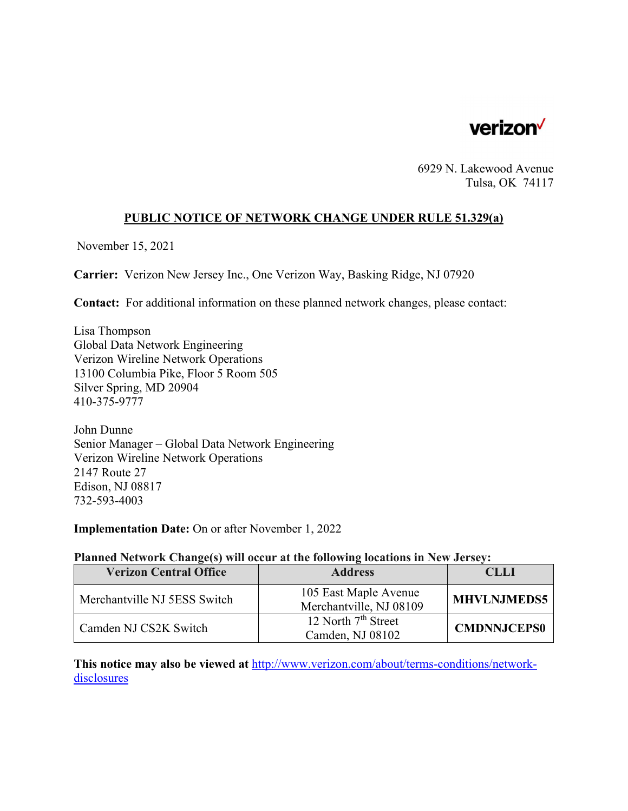

6929 N. Lakewood Avenue Tulsa, OK 74117

# **PUBLIC NOTICE OF NETWORK CHANGE UNDER RULE 51.329(a)**

November 15, 2021

**Carrier:** Verizon New Jersey Inc., One Verizon Way, Basking Ridge, NJ 07920

**Contact:** For additional information on these planned network changes, please contact:

Lisa Thompson Global Data Network Engineering Verizon Wireline Network Operations 13100 Columbia Pike, Floor 5 Room 505 Silver Spring, MD 20904 410-375-9777

John Dunne Senior Manager – Global Data Network Engineering Verizon Wireline Network Operations 2147 Route 27 Edison, NJ 08817 732-593-4003

**Implementation Date:** On or after November 1, 2022

#### **Planned Network Change(s) will occur at the following locations in New Jersey:**

| <b>Verizon Central Office</b> | <b>Address</b>                                   | CLLI               |
|-------------------------------|--------------------------------------------------|--------------------|
| Merchantville NJ 5ESS Switch  | 105 East Maple Avenue<br>Merchantville, NJ 08109 | <b>MHVLNJMEDS5</b> |
| Camden NJ CS2K Switch         | 12 North $7th$ Street<br>Camden, NJ 08102        | <b>CMDNNJCEPS0</b> |

**This notice may also be viewed at** http://www.verizon.com/about/terms-conditions/networkdisclosures